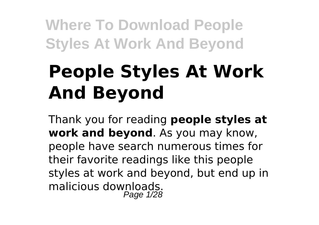# **People Styles At Work And Beyond**

Thank you for reading **people styles at work and beyond**. As you may know, people have search numerous times for their favorite readings like this people styles at work and beyond, but end up in malicious downloads. Page 1/28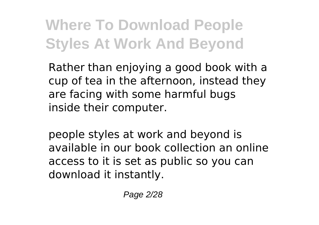Rather than enjoying a good book with a cup of tea in the afternoon, instead they are facing with some harmful bugs inside their computer.

people styles at work and beyond is available in our book collection an online access to it is set as public so you can download it instantly.

Page 2/28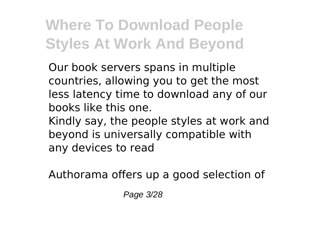Our book servers spans in multiple countries, allowing you to get the most less latency time to download any of our books like this one.

Kindly say, the people styles at work and beyond is universally compatible with any devices to read

Authorama offers up a good selection of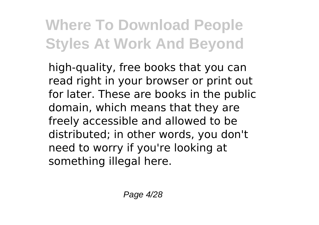high-quality, free books that you can read right in your browser or print out for later. These are books in the public domain, which means that they are freely accessible and allowed to be distributed; in other words, you don't need to worry if you're looking at something illegal here.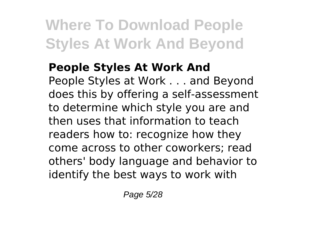#### **People Styles At Work And** People Styles at Work . . . and Beyond does this by offering a self-assessment to determine which style you are and then uses that information to teach readers how to: recognize how they come across to other coworkers; read others' body language and behavior to identify the best ways to work with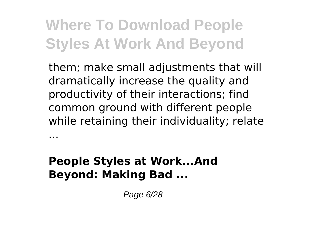them; make small adjustments that will dramatically increase the quality and productivity of their interactions; find common ground with different people while retaining their individuality; relate

#### **People Styles at Work...And Beyond: Making Bad ...**

...

Page 6/28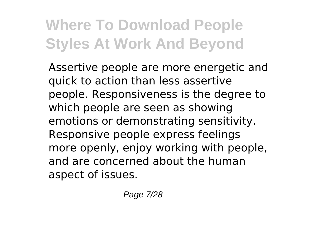Assertive people are more energetic and quick to action than less assertive people. Responsiveness is the degree to which people are seen as showing emotions or demonstrating sensitivity. Responsive people express feelings more openly, enjoy working with people, and are concerned about the human aspect of issues.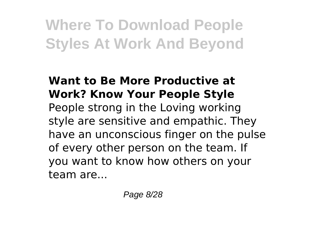#### **Want to Be More Productive at Work? Know Your People Style** People strong in the Loving working style are sensitive and empathic. They have an unconscious finger on the pulse of every other person on the team. If you want to know how others on your team are...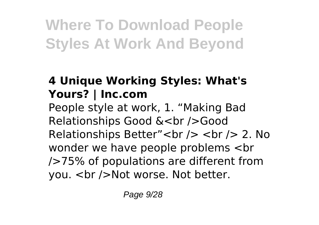#### **4 Unique Working Styles: What's Yours? | Inc.com**

People style at work, 1. "Making Bad Relationships Good &<br />Good Relationships Better"<br />> <br />>>>>> 2. No wonder we have people problems <br />75% of populations are different from vou. < br />Not worse. Not better.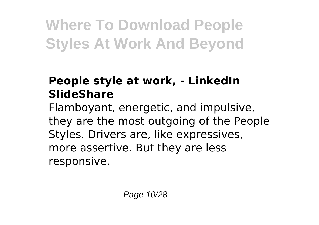#### **People style at work, - LinkedIn SlideShare**

Flamboyant, energetic, and impulsive, they are the most outgoing of the People Styles. Drivers are, like expressives, more assertive. But they are less responsive.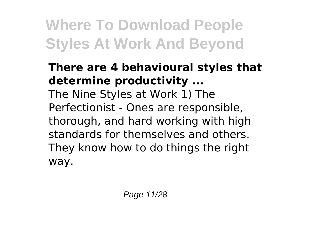#### **There are 4 behavioural styles that determine productivity ...**

The Nine Styles at Work 1) The Perfectionist - Ones are responsible, thorough, and hard working with high standards for themselves and others. They know how to do things the right way.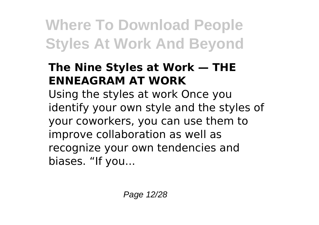#### **The Nine Styles at Work — THE ENNEAGRAM AT WORK**

Using the styles at work Once you identify your own style and the styles of your coworkers, you can use them to improve collaboration as well as recognize your own tendencies and biases. "If you...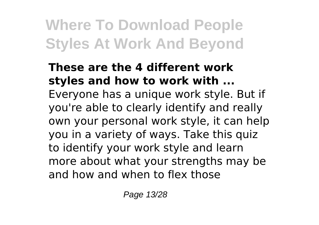#### **These are the 4 different work styles and how to work with ...** Everyone has a unique work style. But if you're able to clearly identify and really own your personal work style, it can help you in a variety of ways. Take this quiz to identify your work style and learn more about what your strengths may be and how and when to flex those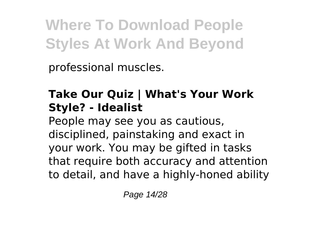professional muscles.

#### **Take Our Quiz | What's Your Work Style? - Idealist**

People may see you as cautious, disciplined, painstaking and exact in your work. You may be gifted in tasks that require both accuracy and attention to detail, and have a highly-honed ability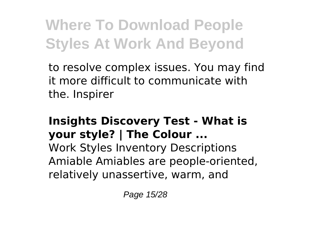to resolve complex issues. You may find it more difficult to communicate with the. Inspirer

#### **Insights Discovery Test - What is your style? | The Colour ...**

Work Styles Inventory Descriptions Amiable Amiables are people-oriented, relatively unassertive, warm, and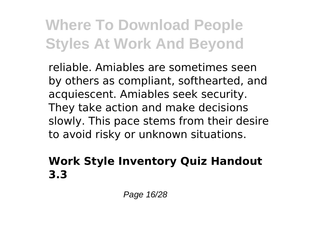reliable. Amiables are sometimes seen by others as compliant, softhearted, and acquiescent. Amiables seek security. They take action and make decisions slowly. This pace stems from their desire to avoid risky or unknown situations.

#### **Work Style Inventory Quiz Handout 3.3**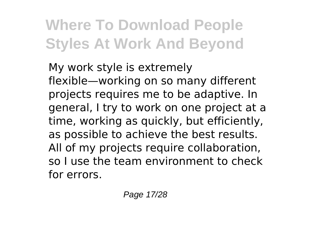My work style is extremely flexible—working on so many different projects requires me to be adaptive. In general, I try to work on one project at a time, working as quickly, but efficiently, as possible to achieve the best results. All of my projects require collaboration, so I use the team environment to check for errors.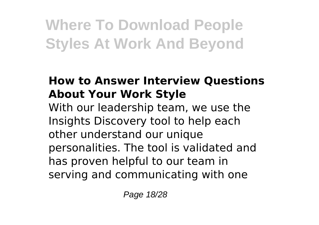#### **How to Answer Interview Questions About Your Work Style**

With our leadership team, we use the Insights Discovery tool to help each other understand our unique personalities. The tool is validated and has proven helpful to our team in serving and communicating with one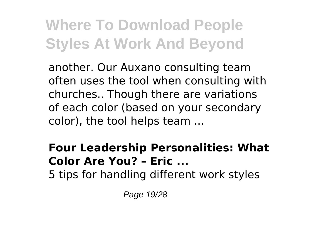another. Our Auxano consulting team often uses the tool when consulting with churches.. Though there are variations of each color (based on your secondary color), the tool helps team ...

#### **Four Leadership Personalities: What Color Are You? – Eric ...**

5 tips for handling different work styles

Page 19/28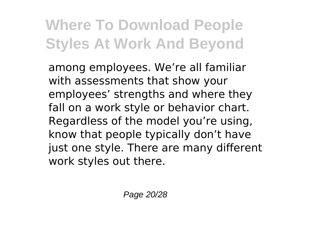among employees. We're all familiar with assessments that show your employees' strengths and where they fall on a work style or behavior chart. Regardless of the model you're using, know that people typically don't have just one style. There are many different work styles out there.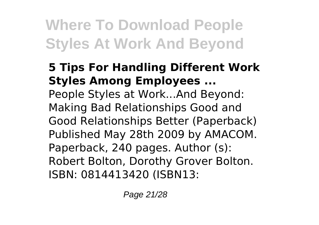#### **5 Tips For Handling Different Work Styles Among Employees ...** People Styles at Work...And Beyond: Making Bad Relationships Good and

Good Relationships Better (Paperback) Published May 28th 2009 by AMACOM. Paperback, 240 pages. Author (s): Robert Bolton, Dorothy Grover Bolton. ISBN: 0814413420 (ISBN13:

Page 21/28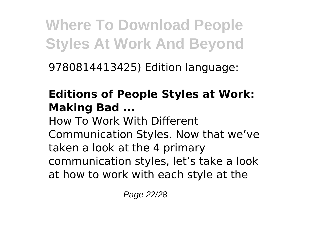9780814413425) Edition language:

#### **Editions of People Styles at Work: Making Bad ...**

How To Work With Different Communication Styles. Now that we've taken a look at the 4 primary communication styles, let's take a look at how to work with each style at the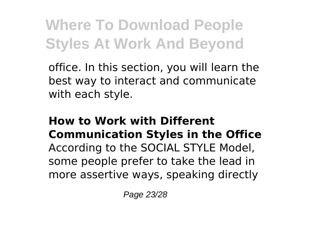office. In this section, you will learn the best way to interact and communicate with each style.

#### **How to Work with Different Communication Styles in the Office** According to the SOCIAL STYLE Model, some people prefer to take the lead in more assertive ways, speaking directly

Page 23/28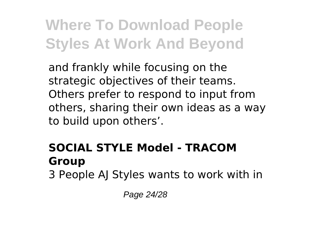and frankly while focusing on the strategic objectives of their teams. Others prefer to respond to input from others, sharing their own ideas as a way to build upon others'.

### **SOCIAL STYLE Model - TRACOM Group**

3 People AJ Styles wants to work with in

Page 24/28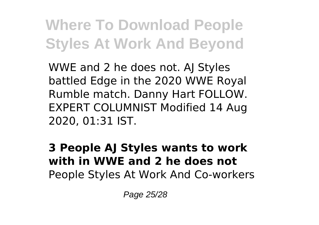WWE and 2 he does not. AJ Styles battled Edge in the 2020 WWE Royal Rumble match. Danny Hart FOLLOW. EXPERT COLUMNIST Modified 14 Aug 2020, 01:31 IST.

**3 People AJ Styles wants to work with in WWE and 2 he does not** People Styles At Work And Co-workers

Page 25/28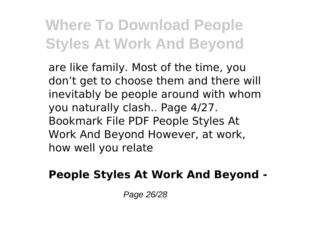are like family. Most of the time, you don't get to choose them and there will inevitably be people around with whom you naturally clash.. Page 4/27. Bookmark File PDF People Styles At Work And Beyond However, at work, how well you relate

#### **People Styles At Work And Beyond -**

Page 26/28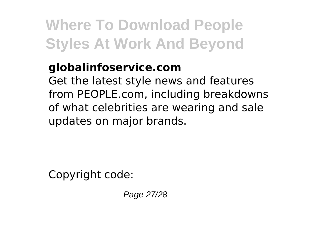#### **globalinfoservice.com**

Get the latest style news and features from PEOPLE.com, including breakdowns of what celebrities are wearing and sale updates on major brands.

Copyright code:

Page 27/28